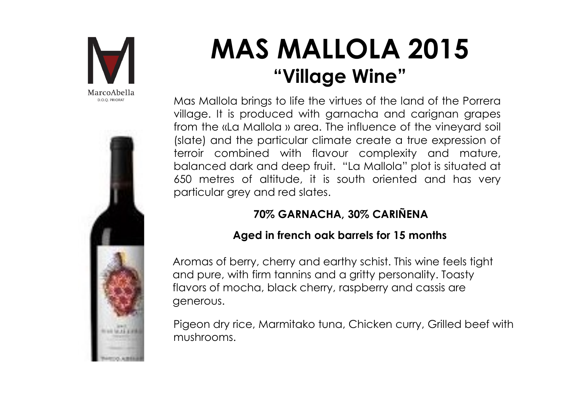



# MAS MALLOLA 2015 **MALLOLA 2015**<br>"Village Wine"<br>to life the virtues of the land of the Porrera<br>ced with garnacha and carignan grapes

**MAS MALLOLA 2015**<br>"Village Wine"<br>Mas Mallola brings to life the virtues of the land of the Porrera<br>village. It is produced with garnacha and carignan grapes<br>from the «La Mallola » area. The influence of the vineyard soil<br> **MAS MALLOLA 2015**<br>"Village Wine"<br>Mas Mallola brings to life the virtues of the land of the Porrera<br>village. It is produced with garnacha and carignan grapes<br>from the «La Mallola » area. The influence of the vineyard soil<br> **MAS MALLOLA 2015**<br> **Solution the SMALLOLA 2015**<br> **Mas Mallola brings to life the virtues of the land of the Porrera**<br>
village. It is produced with garnacha and carignan grapes<br>
from the «La Mallola » area. The influence o **MAS MALLOLA 2015**<br>
"Village Wine"<br>
Mas Mallola brings to life the virtues of the land of the Porrera<br>
village. It is produced with garnacha and carignan grapes<br>
(slate) and the particular climate create a true expression **MAS MALLOLA 2015**<br> **MAS MALLOLA 2015**<br> **Mas Mallola brings to life the virtues of the land of the Porrera**<br>
village. It is produced with garnacha and carignan grapes<br>
from the «La Mallola » area. The influence of the vine **MAS MALLOLA 2015**<br>
"Village Wine"<br>
Mas Mallola brings to life the virtues of the land of the Porrera<br>
village. It is produced with garnacha and carignan grapes<br>
from the «La Mallola » area. The influence of the vineyard s **MAS MALLOLA 2015**<br> **Willage Wine"**<br>
Mas Mallola brings to life the virtues of the land of the Porrera<br>
village. It is produced with garaccha and carignan grapes<br>
from the «La Mallola » area. The influence of the vineyard **MAS MALLOLA 2015**<br>
"Village Wine"<br>
"Willage Wine"<br>
Mas Mallola brings to life the virtues of the land of the Porrera<br>
village. It is produced with garnacha and carignan grapes<br>
from the «La Mallola » area. The influence o Mas Mallola brings to life the virtues of the land of the Porrera<br>village. It is produced with garnacha and carignan grapes<br>from the «La Mallola » area. The influence of the vineyard soil<br>(slate) and the particular climate Mas Mallola brings to life the virtues of the land of the Porrera<br>village. It is produced with granacha and carignan grapes<br>from the «La Mallola » area. The influence of the vineyard soil<br>(slate) and the particular climate village. It is produced with garnacha and carignan grapes<br>from the «La Mallola » area. The influence of the vineyard soil<br>(slate) and the particular climate create a true expression of<br>terroir combined with flavour complex terroir combined with flavour complexity and mature,<br>balanced dark and deep fruit. "La Mallola" plot is situated at<br>650 metres of altitude, it is south oriented and has very<br>particular grey and red slates.<br>**70% GARNACHA, 3 Example 18 Mine 19 months of the Universe of the Universe Sproduced with garnacha and carignan grapes a Mallola » area. The influence of the vineyard soil the particular climate create a true expression of mbined with fla** 

### 70% GARNACHA, 30% CARIÑENA

generous.

mushrooms.